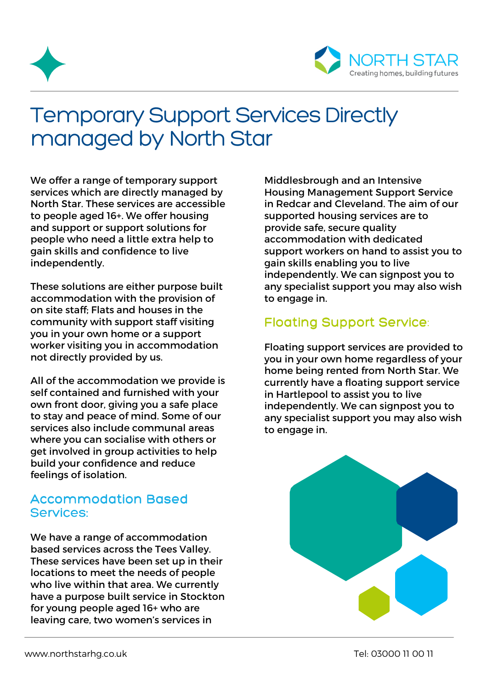



## Temporary Support Services Directly managed by North Star

We offer a range of temporary support services which are directly managed by North Star. These services are accessible to people aged 16+. We offer housing and support or support solutions for people who need a little extra help to gain skills and confidence to live independently.

These solutions are either purpose built accommodation with the provision of on site staff; Flats and houses in the community with support staff visiting you in your own home or a support worker visiting you in accommodation not directly provided by us.

All of the accommodation we provide is self contained and furnished with your own front door, giving you a safe place to stay and peace of mind. Some of our services also include communal areas where you can socialise with others or get involved in group activities to help build your confidence and reduce feelings of isolation.

## Accommodation Based Services:

We have a range of accommodation based services across the Tees Valley. These services have been set up in their locations to meet the needs of people who live within that area. We currently have a purpose built service in Stockton for young people aged 16+ who are leaving care, two women's services in

Middlesbrough and an Intensive Housing Management Support Service in Redcar and Cleveland. The aim of our supported housing services are to provide safe, secure quality accommodation with dedicated support workers on hand to assist you to gain skills enabling you to live independently. We can signpost you to any specialist support you may also wish to engage in.

## Floating Support Service:

Floating support services are provided to you in your own home regardless of your home being rented from North Star. We currently have a floating support service in Hartlepool to assist you to live independently. We can signpost you to any specialist support you may also wish to engage in.